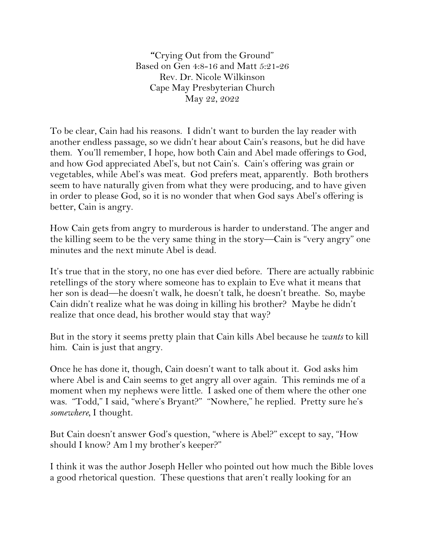**"**Crying Out from the Ground" Based on Gen 4:8-16 and Matt 5:21-26 Rev. Dr. Nicole Wilkinson Cape May Presbyterian Church May 22, 2022

To be clear, Cain had his reasons. I didn't want to burden the lay reader with another endless passage, so we didn't hear about Cain's reasons, but he did have them. You'll remember, I hope, how both Cain and Abel made offerings to God, and how God appreciated Abel's, but not Cain's. Cain's offering was grain or vegetables, while Abel's was meat. God prefers meat, apparently. Both brothers seem to have naturally given from what they were producing, and to have given in order to please God, so it is no wonder that when God says Abel's offering is better, Cain is angry.

How Cain gets from angry to murderous is harder to understand. The anger and the killing seem to be the very same thing in the story—Cain is "very angry" one minutes and the next minute Abel is dead.

It's true that in the story, no one has ever died before. There are actually rabbinic retellings of the story where someone has to explain to Eve what it means that her son is dead—he doesn't walk, he doesn't talk, he doesn't breathe. So, maybe Cain didn't realize what he was doing in killing his brother? Maybe he didn't realize that once dead, his brother would stay that way?

But in the story it seems pretty plain that Cain kills Abel because he *wants* to kill him. Cain is just that angry.

Once he has done it, though, Cain doesn't want to talk about it. God asks him where Abel is and Cain seems to get angry all over again. This reminds me of a moment when my nephews were little. I asked one of them where the other one was. "Todd," I said, "where's Bryant?" "Nowhere," he replied. Pretty sure he's *somewhere,* I thought.

But Cain doesn't answer God's question, "where is Abel?" except to say, "How should I know? Am l my brother's keeper?"

I think it was the author Joseph Heller who pointed out how much the Bible loves a good rhetorical question. These questions that aren't really looking for an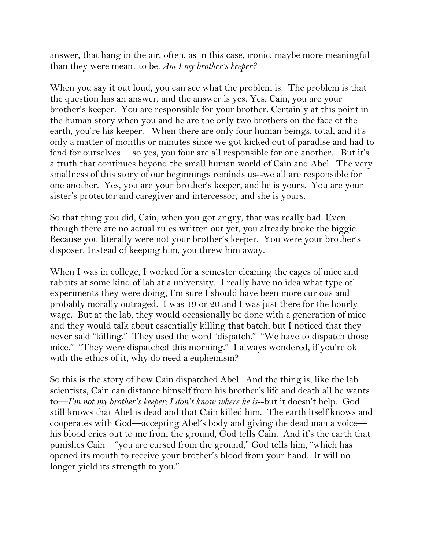answer, that hang in the air, often, as in this case, ironic, maybe more meaningful than they were meant to be. *Am I my brother's keeper?*

When you say it out loud, you can see what the problem is. The problem is that the question has an answer, and the answer is yes. Yes, Cain, you are your brother's keeper. You are responsible for your brother. Certainly at this point in the human story when you and he are the only two brothers on the face of the earth, you're his keeper. When there are only four human beings, total, and it's only a matter of months or minutes since we got kicked out of paradise and had to fend for ourselves— so yes, you four are all responsible for one another. But it's a truth that continues beyond the small human world of Cain and Abel. The very smallness of this story of our beginnings reminds us--we all are responsible for one another. Yes, you are your brother's keeper, and he is yours. You are your sister's protector and caregiver and intercessor, and she is yours.

So that thing you did, Cain, when you got angry, that was really bad. Even though there are no actual rules written out yet, you already broke the biggie. Because you literally were not your brother's keeper. You were your brother's disposer. Instead of keeping him, you threw him away.

When I was in college, I worked for a semester cleaning the cages of mice and rabbits at some kind of lab at a university. I really have no idea what type of experiments they were doing; I'm sure I should have been more curious and probably morally outraged. I was 19 or 20 and I was just there for the hourly wage. But at the lab, they would occasionally be done with a generation of mice and they would talk about essentially killing that batch, but I noticed that they never said "killing." They used the word "dispatch." "We have to dispatch those mice." "They were dispatched this morning." I always wondered, if you're ok with the ethics of it, why do need a euphemism?

So this is the story of how Cain dispatched Abel. And the thing is, like the lab scientists, Cain can distance himself from his brother's life and death all he wants to—*I'm not my brother's keeper; I don't know where he is*--but it doesn't help. God still knows that Abel is dead and that Cain killed him. The earth itself knows and cooperates with God—accepting Abel's body and giving the dead man a voice his blood cries out to me from the ground, God tells Cain. And it's the earth that punishes Cain—"you are cursed from the ground," God tells him, "which has opened its mouth to receive your brother's blood from your hand. It will no longer yield its strength to you."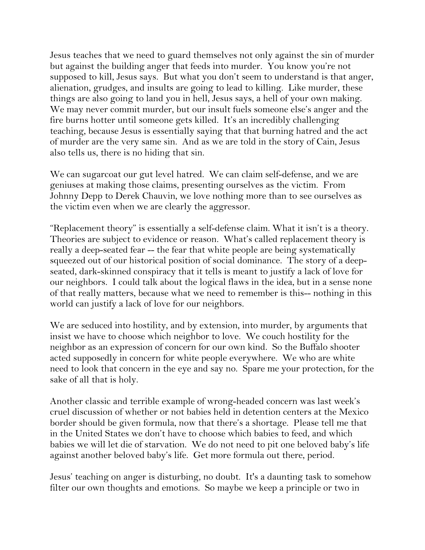Jesus teaches that we need to guard themselves not only against the sin of murder but against the building anger that feeds into murder. You know you're not supposed to kill, Jesus says. But what you don't seem to understand is that anger, alienation, grudges, and insults are going to lead to killing. Like murder, these things are also going to land you in hell, Jesus says, a hell of your own making. We may never commit murder, but our insult fuels someone else's anger and the fire burns hotter until someone gets killed. It's an incredibly challenging teaching, because Jesus is essentially saying that that burning hatred and the act of murder are the very same sin. And as we are told in the story of Cain, Jesus also tells us, there is no hiding that sin.

We can sugarcoat our gut level hatred. We can claim self-defense, and we are geniuses at making those claims, presenting ourselves as the victim. From Johnny Depp to Derek Chauvin, we love nothing more than to see ourselves as the victim even when we are clearly the aggressor.

"Replacement theory" is essentially a self-defense claim. What it isn't is a theory. Theories are subject to evidence or reason. What's called replacement theory is really a deep-seated fear -- the fear that white people are being systematically squeezed out of our historical position of social dominance. The story of a deepseated, dark-skinned conspiracy that it tells is meant to justify a lack of love for our neighbors. I could talk about the logical flaws in the idea, but in a sense none of that really matters, because what we need to remember is this-- nothing in this world can justify a lack of love for our neighbors.

We are seduced into hostility, and by extension, into murder, by arguments that insist we have to choose which neighbor to love. We couch hostility for the neighbor as an expression of concern for our own kind. So the Buffalo shooter acted supposedly in concern for white people everywhere. We who are white need to look that concern in the eye and say no. Spare me your protection, for the sake of all that is holy.

Another classic and terrible example of wrong-headed concern was last week's cruel discussion of whether or not babies held in detention centers at the Mexico border should be given formula, now that there's a shortage. Please tell me that in the United States we don't have to choose which babies to feed, and which babies we will let die of starvation. We do not need to pit one beloved baby's life against another beloved baby's life. Get more formula out there, period.

Jesus' teaching on anger is disturbing, no doubt. It's a daunting task to somehow filter our own thoughts and emotions. So maybe we keep a principle or two in